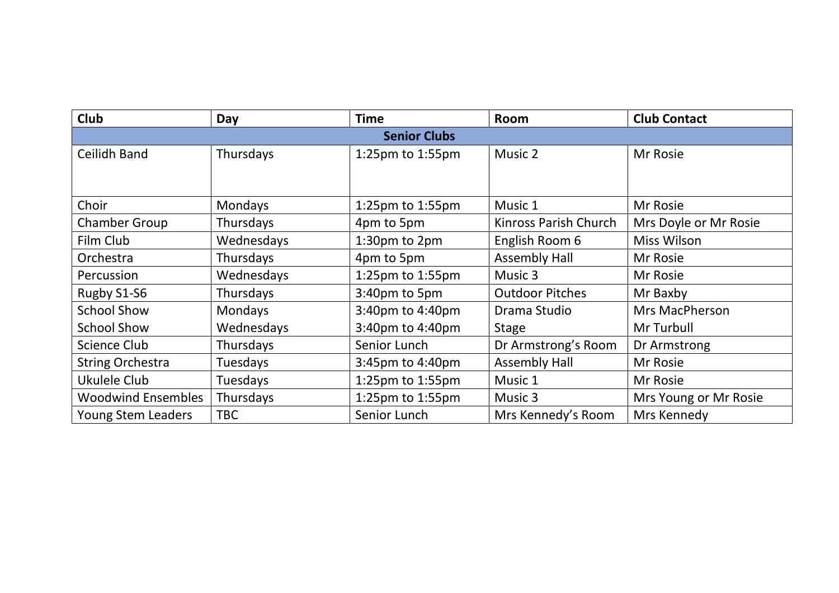| Club                      | Day        | <b>Time</b>         | Room                   | <b>Club Contact</b>   |  |  |
|---------------------------|------------|---------------------|------------------------|-----------------------|--|--|
| <b>Senior Clubs</b>       |            |                     |                        |                       |  |  |
| Ceilidh Band              | Thursdays  | 1:25pm to 1:55pm    | Music 2                | Mr Rosie              |  |  |
|                           |            |                     |                        |                       |  |  |
|                           |            |                     |                        |                       |  |  |
| Choir                     | Mondays    | 1:25pm to $1:55$ pm | Music 1                | Mr Rosie              |  |  |
| <b>Chamber Group</b>      | Thursdays  | 4pm to 5pm          | Kinross Parish Church  | Mrs Doyle or Mr Rosie |  |  |
| Film Club                 | Wednesdays | 1:30pm to 2pm       | English Room 6         | Miss Wilson           |  |  |
| Orchestra                 | Thursdays  | 4pm to 5pm          | <b>Assembly Hall</b>   | Mr Rosie              |  |  |
| Percussion                | Wednesdays | 1:25pm to 1:55pm    | Music 3                | Mr Rosie              |  |  |
| Rugby S1-S6               | Thursdays  | 3:40pm to 5pm       | <b>Outdoor Pitches</b> | Mr Baxby              |  |  |
| <b>School Show</b>        | Mondays    | 3:40pm to 4:40pm    | Drama Studio           | <b>Mrs MacPherson</b> |  |  |
| <b>School Show</b>        | Wednesdays | 3:40pm to 4:40pm    | <b>Stage</b>           | Mr Turbull            |  |  |
| <b>Science Club</b>       | Thursdays  | Senior Lunch        | Dr Armstrong's Room    | Dr Armstrong          |  |  |
| <b>String Orchestra</b>   | Tuesdays   | 3:45pm to 4:40pm    | <b>Assembly Hall</b>   | Mr Rosie              |  |  |
| Ukulele Club              | Tuesdays   | 1:25pm to 1:55pm    | Music 1                | Mr Rosie              |  |  |
| <b>Woodwind Ensembles</b> | Thursdays  | 1:25pm to $1:55$ pm | Music 3                | Mrs Young or Mr Rosie |  |  |
| <b>Young Stem Leaders</b> | <b>TBC</b> | Senior Lunch        | Mrs Kennedy's Room     | Mrs Kennedy           |  |  |